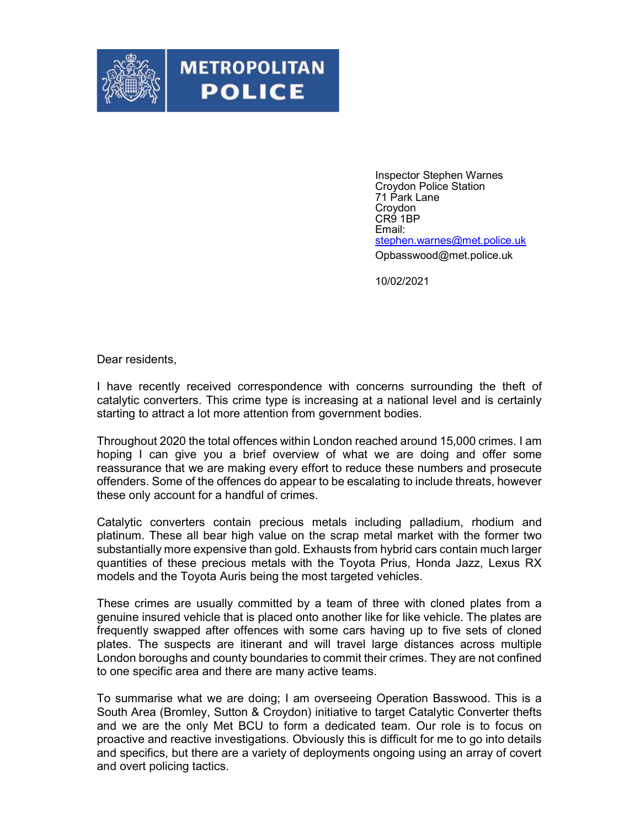

**METROPOLITAN** 

**POLICE** 

Inspector Stephen Warnes Croydon Police Station 71 Park Lane Croydon CR9 1BP Email: stephen.warnes@met.police.uk

Opbasswood@met.police.uk

10/02/2021

Dear residents,

I have recently received correspondence with concerns surrounding the theft of catalytic converters. This crime type is increasing at a national level and is certainly starting to attract a lot more attention from government bodies.

Throughout 2020 the total offences within London reached around 15,000 crimes. I am hoping I can give you a brief overview of what we are doing and offer some reassurance that we are making every effort to reduce these numbers and prosecute offenders. Some of the offences do appear to be escalating to include threats, however these only account for a handful of crimes.

Catalytic converters contain precious metals including palladium, rhodium and platinum. These all bear high value on the scrap metal market with the former two substantially more expensive than gold. Exhausts from hybrid cars contain much larger quantities of these precious metals with the Toyota Prius, Honda Jazz, Lexus RX models and the Toyota Auris being the most targeted vehicles.

These crimes are usually committed by a team of three with cloned plates from a genuine insured vehicle that is placed onto another like for like vehicle. The plates are frequently swapped after offences with some cars having up to five sets of cloned plates. The suspects are itinerant and will travel large distances across multiple London boroughs and county boundaries to commit their crimes. They are not confined to one specific area and there are many active teams.

To summarise what we are doing; I am overseeing Operation Basswood. This is a South Area (Bromley, Sutton & Croydon) initiative to target Catalytic Converter thefts and we are the only Met BCU to form a dedicated team. Our role is to focus on proactive and reactive investigations. Obviously this is difficult for me to go into details and specifics, but there are a variety of deployments ongoing using an array of covert and overt policing tactics.